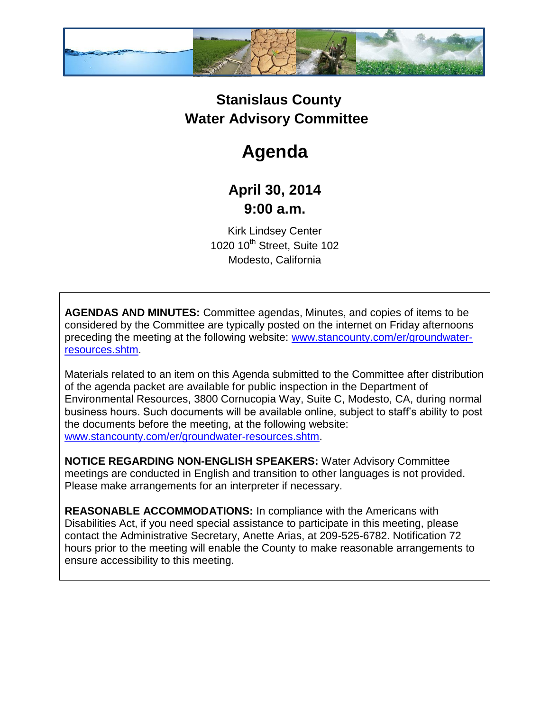

## **Stanislaus County Water Advisory Committee**

# **Agenda**

### **April 30, 2014 9:00 a.m.**

Kirk Lindsey Center 1020 10<sup>th</sup> Street, Suite 102 Modesto, California

**AGENDAS AND MINUTES:** Committee agendas, Minutes, and copies of items to be considered by the Committee are typically posted on the internet on Friday afternoons preceding the meeting at the following website: [www.stancounty.com/er/groundwater](http://www.stancounty.com/er/groundwater-resources.shtm)[resources.shtm.](http://www.stancounty.com/er/groundwater-resources.shtm)

Materials related to an item on this Agenda submitted to the Committee after distribution of the agenda packet are available for public inspection in the Department of Environmental Resources, 3800 Cornucopia Way, Suite C, Modesto, CA, during normal business hours. Such documents will be available online, subject to staff's ability to post the documents before the meeting, at the following website: [www.stancounty.com/er/groundwater-resources.shtm.](http://www.stancounty.com/er/groundwater-resources.shtm)

**NOTICE REGARDING NON-ENGLISH SPEAKERS:** Water Advisory Committee meetings are conducted in English and transition to other languages is not provided. Please make arrangements for an interpreter if necessary.

**REASONABLE ACCOMMODATIONS:** In compliance with the Americans with Disabilities Act, if you need special assistance to participate in this meeting, please contact the Administrative Secretary, Anette Arias, at 209-525-6782. Notification 72 hours prior to the meeting will enable the County to make reasonable arrangements to ensure accessibility to this meeting.